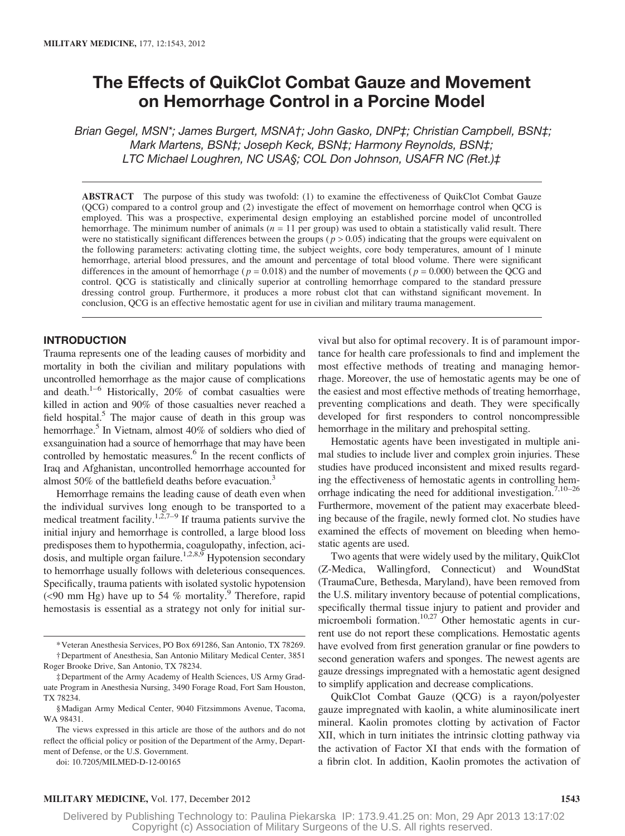# The Effects of QuikClot Combat Gauze and Movement on Hemorrhage Control in a Porcine Model

Brian Gegel, MSN\*; James Burgert, MSNA†; John Gasko, DNP‡; Christian Campbell, BSN‡; Mark Martens, BSN‡; Joseph Keck, BSN‡; Harmony Reynolds, BSN‡; LTC Michael Loughren, NC USA§; COL Don Johnson, USAFR NC (Ret.)‡

ABSTRACT The purpose of this study was twofold: (1) to examine the effectiveness of QuikClot Combat Gauze (QCG) compared to a control group and (2) investigate the effect of movement on hemorrhage control when QCG is employed. This was a prospective, experimental design employing an established porcine model of uncontrolled hemorrhage. The minimum number of animals ( $n = 11$  per group) was used to obtain a statistically valid result. There were no statistically significant differences between the groups ( $p > 0.05$ ) indicating that the groups were equivalent on the following parameters: activating clotting time, the subject weights, core body temperatures, amount of 1 minute hemorrhage, arterial blood pressures, and the amount and percentage of total blood volume. There were significant differences in the amount of hemorrhage ( $p = 0.018$ ) and the number of movements ( $p = 0.000$ ) between the QCG and control. QCG is statistically and clinically superior at controlling hemorrhage compared to the standard pressure dressing control group. Furthermore, it produces a more robust clot that can withstand significant movement. In conclusion, QCG is an effective hemostatic agent for use in civilian and military trauma management.

## INTRODUCTION

Trauma represents one of the leading causes of morbidity and mortality in both the civilian and military populations with uncontrolled hemorrhage as the major cause of complications and death. $1-6$  Historically, 20% of combat casualties were killed in action and 90% of those casualties never reached a field hospital.<sup>5</sup> The major cause of death in this group was hemorrhage.<sup>5</sup> In Vietnam, almost 40% of soldiers who died of exsanguination had a source of hemorrhage that may have been controlled by hemostatic measures.<sup>6</sup> In the recent conflicts of Iraq and Afghanistan, uncontrolled hemorrhage accounted for almost 50% of the battlefield deaths before evacuation.<sup>3</sup>

Hemorrhage remains the leading cause of death even when the individual survives long enough to be transported to a medical treatment facility.<sup>1,2,7–9</sup> If trauma patients survive the initial injury and hemorrhage is controlled, a large blood loss predisposes them to hypothermia, coagulopathy, infection, aci $d$ osis, and multiple organ failure.<sup>1,2,8,9</sup> Hypotension secondary to hemorrhage usually follows with deleterious consequences. Specifically, trauma patients with isolated systolic hypotension (<90 mm Hg) have up to 54 % mortality.<sup>9</sup> Therefore, rapid hemostasis is essential as a strategy not only for initial sur-

\*Veteran Anesthesia Services, PO Box 691286, San Antonio, TX 78269. †Department of Anesthesia, San Antonio Military Medical Center, 3851

Roger Brooke Drive, San Antonio, TX 78234.

doi: 10.7205/MILMED-D-12-00165

vival but also for optimal recovery. It is of paramount importance for health care professionals to find and implement the most effective methods of treating and managing hemorrhage. Moreover, the use of hemostatic agents may be one of the easiest and most effective methods of treating hemorrhage, preventing complications and death. They were specifically developed for first responders to control noncompressible hemorrhage in the military and prehospital setting.

Hemostatic agents have been investigated in multiple animal studies to include liver and complex groin injuries. These studies have produced inconsistent and mixed results regarding the effectiveness of hemostatic agents in controlling hemorrhage indicating the need for additional investigation.7,10–26 Furthermore, movement of the patient may exacerbate bleeding because of the fragile, newly formed clot. No studies have examined the effects of movement on bleeding when hemostatic agents are used.

Two agents that were widely used by the military, QuikClot (Z-Medica, Wallingford, Connecticut) and WoundStat (TraumaCure, Bethesda, Maryland), have been removed from the U.S. military inventory because of potential complications, specifically thermal tissue injury to patient and provider and microemboli formation.<sup>10,27</sup> Other hemostatic agents in current use do not report these complications. Hemostatic agents have evolved from first generation granular or fine powders to second generation wafers and sponges. The newest agents are gauze dressings impregnated with a hemostatic agent designed to simplify application and decrease complications.

QuikClot Combat Gauze (QCG) is a rayon/polyester gauze impregnated with kaolin, a white aluminosilicate inert mineral. Kaolin promotes clotting by activation of Factor XII, which in turn initiates the intrinsic clotting pathway via the activation of Factor XI that ends with the formation of a fibrin clot. In addition, Kaolin promotes the activation of

### MILITARY MEDICINE, Vol. 177, December 2012 1543

<sup>‡</sup>Department of the Army Academy of Health Sciences, US Army Graduate Program in Anesthesia Nursing, 3490 Forage Road, Fort Sam Houston, TX 78234.

<sup>§</sup>Madigan Army Medical Center, 9040 Fitzsimmons Avenue, Tacoma, WA 98431.

The views expressed in this article are those of the authors and do not reflect the official policy or position of the Department of the Army, Department of Defense, or the U.S. Government.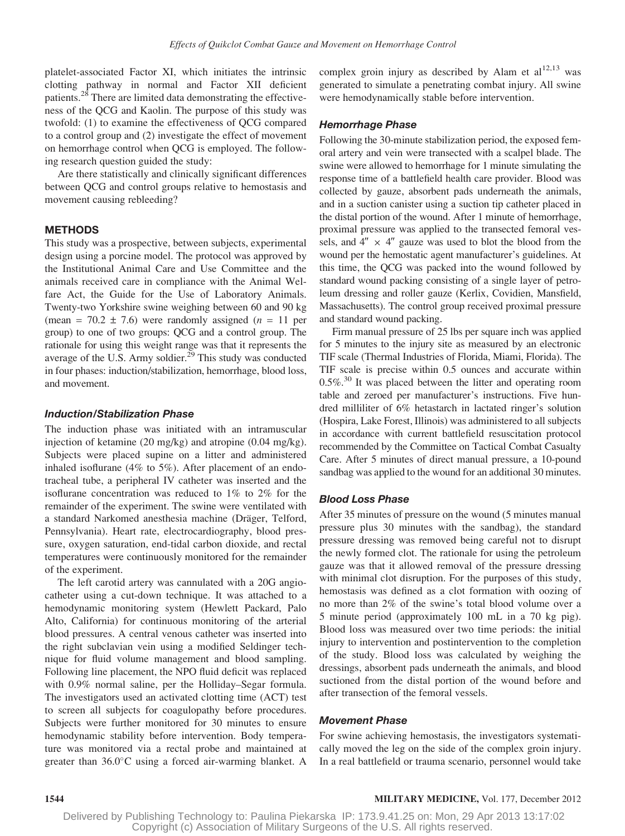platelet-associated Factor XI, which initiates the intrinsic clotting pathway in normal and Factor XII deficient patients.<sup>28</sup> There are limited data demonstrating the effectiveness of the QCG and Kaolin. The purpose of this study was twofold: (1) to examine the effectiveness of QCG compared to a control group and (2) investigate the effect of movement on hemorrhage control when QCG is employed. The following research question guided the study:

Are there statistically and clinically significant differences between QCG and control groups relative to hemostasis and movement causing rebleeding?

# METHODS

This study was a prospective, between subjects, experimental design using a porcine model. The protocol was approved by the Institutional Animal Care and Use Committee and the animals received care in compliance with the Animal Welfare Act, the Guide for the Use of Laboratory Animals. Twenty-two Yorkshire swine weighing between 60 and 90 kg (mean =  $70.2 \pm 7.6$ ) were randomly assigned (*n* = 11 per group) to one of two groups: QCG and a control group. The rationale for using this weight range was that it represents the average of the U.S. Army soldier.<sup>29</sup> This study was conducted in four phases: induction/stabilization, hemorrhage, blood loss, and movement.

## Induction/Stabilization Phase

The induction phase was initiated with an intramuscular injection of ketamine (20 mg/kg) and atropine (0.04 mg/kg). Subjects were placed supine on a litter and administered inhaled isoflurane (4% to 5%). After placement of an endotracheal tube, a peripheral IV catheter was inserted and the isoflurane concentration was reduced to 1% to 2% for the remainder of the experiment. The swine were ventilated with a standard Narkomed anesthesia machine (Dräger, Telford, Pennsylvania). Heart rate, electrocardiography, blood pressure, oxygen saturation, end-tidal carbon dioxide, and rectal temperatures were continuously monitored for the remainder of the experiment.

The left carotid artery was cannulated with a 20G angiocatheter using a cut-down technique. It was attached to a hemodynamic monitoring system (Hewlett Packard, Palo Alto, California) for continuous monitoring of the arterial blood pressures. A central venous catheter was inserted into the right subclavian vein using a modified Seldinger technique for fluid volume management and blood sampling. Following line placement, the NPO fluid deficit was replaced with 0.9% normal saline, per the Holliday–Segar formula. The investigators used an activated clotting time (ACT) test to screen all subjects for coagulopathy before procedures. Subjects were further monitored for 30 minutes to ensure hemodynamic stability before intervention. Body temperature was monitored via a rectal probe and maintained at greater than 36.0C using a forced air-warming blanket. A

complex groin injury as described by Alam et  $al^{12,13}$  was generated to simulate a penetrating combat injury. All swine were hemodynamically stable before intervention.

## Hemorrhage Phase

Following the 30-minute stabilization period, the exposed femoral artery and vein were transected with a scalpel blade. The swine were allowed to hemorrhage for 1 minute simulating the response time of a battlefield health care provider. Blood was collected by gauze, absorbent pads underneath the animals, and in a suction canister using a suction tip catheter placed in the distal portion of the wound. After 1 minute of hemorrhage, proximal pressure was applied to the transected femoral vessels, and  $4'' \times 4''$  gauze was used to blot the blood from the wound per the hemostatic agent manufacturer's guidelines. At this time, the QCG was packed into the wound followed by standard wound packing consisting of a single layer of petroleum dressing and roller gauze (Kerlix, Covidien, Mansfield, Massachusetts). The control group received proximal pressure and standard wound packing.

Firm manual pressure of 25 lbs per square inch was applied for 5 minutes to the injury site as measured by an electronic TIF scale (Thermal Industries of Florida, Miami, Florida). The TIF scale is precise within 0.5 ounces and accurate within  $0.5\%$ <sup>30</sup> It was placed between the litter and operating room table and zeroed per manufacturer's instructions. Five hundred milliliter of 6% hetastarch in lactated ringer's solution (Hospira, Lake Forest, Illinois) was administered to all subjects in accordance with current battlefield resuscitation protocol recommended by the Committee on Tactical Combat Casualty Care. After 5 minutes of direct manual pressure, a 10-pound sandbag was applied to the wound for an additional 30 minutes.

## Blood Loss Phase

After 35 minutes of pressure on the wound (5 minutes manual pressure plus 30 minutes with the sandbag), the standard pressure dressing was removed being careful not to disrupt the newly formed clot. The rationale for using the petroleum gauze was that it allowed removal of the pressure dressing with minimal clot disruption. For the purposes of this study, hemostasis was defined as a clot formation with oozing of no more than 2% of the swine's total blood volume over a 5 minute period (approximately 100 mL in a 70 kg pig). Blood loss was measured over two time periods: the initial injury to intervention and postintervention to the completion of the study. Blood loss was calculated by weighing the dressings, absorbent pads underneath the animals, and blood suctioned from the distal portion of the wound before and after transection of the femoral vessels.

### Movement Phase

For swine achieving hemostasis, the investigators systematically moved the leg on the side of the complex groin injury. In a real battlefield or trauma scenario, personnel would take

### 1544 MILITARY MEDICINE, Vol. 177, December 2012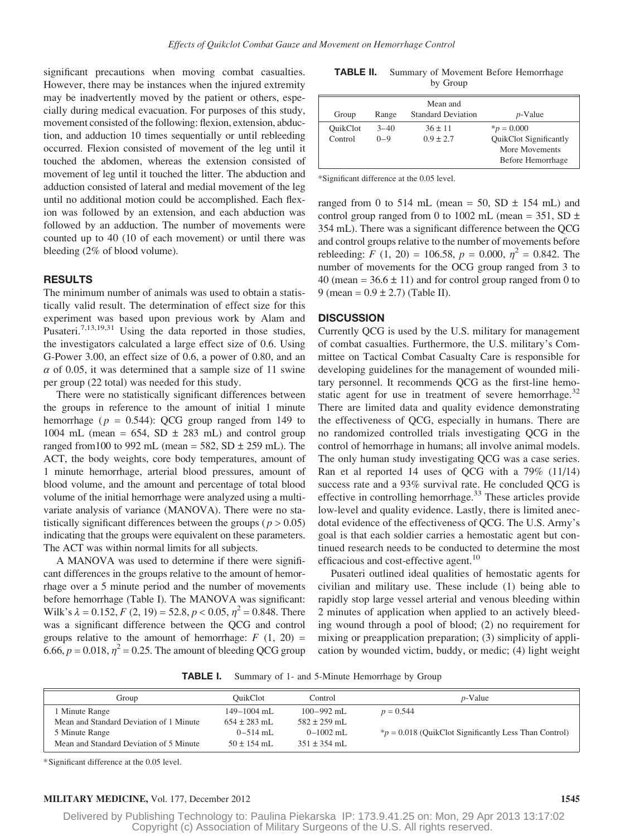significant precautions when moving combat casualties. However, there may be instances when the injured extremity may be inadvertently moved by the patient or others, especially during medical evacuation. For purposes of this study, movement consisted of the following: flexion, extension, abduction, and adduction 10 times sequentially or until rebleeding occurred. Flexion consisted of movement of the leg until it touched the abdomen, whereas the extension consisted of movement of leg until it touched the litter. The abduction and adduction consisted of lateral and medial movement of the leg until no additional motion could be accomplished. Each flexion was followed by an extension, and each abduction was followed by an adduction. The number of movements were counted up to 40 (10 of each movement) or until there was bleeding (2% of blood volume).

## RESULTS

The minimum number of animals was used to obtain a statistically valid result. The determination of effect size for this experiment was based upon previous work by Alam and Pusateri.<sup>7,13,19,31</sup> Using the data reported in those studies, the investigators calculated a large effect size of 0.6. Using G-Power 3.00, an effect size of 0.6, a power of 0.80, and an  $\alpha$  of 0.05, it was determined that a sample size of 11 swine per group (22 total) was needed for this study.

There were no statistically significant differences between the groups in reference to the amount of initial 1 minute hemorrhage ( $p = 0.544$ ): QCG group ranged from 149 to 1004 mL (mean =  $654$ , SD  $\pm$  283 mL) and control group ranged from 100 to 992 mL (mean =  $582$ , SD  $\pm$  259 mL). The ACT, the body weights, core body temperatures, amount of 1 minute hemorrhage, arterial blood pressures, amount of blood volume, and the amount and percentage of total blood volume of the initial hemorrhage were analyzed using a multivariate analysis of variance (MANOVA). There were no statistically significant differences between the groups ( $p > 0.05$ ) indicating that the groups were equivalent on these parameters. The ACT was within normal limits for all subjects.

A MANOVA was used to determine if there were significant differences in the groups relative to the amount of hemorrhage over a 5 minute period and the number of movements before hemorrhage (Table I). The MANOVA was significant: Wilk's  $\lambda = 0.152$ ,  $F(2, 19) = 52.8$ ,  $p < 0.05$ ,  $\eta^2 = 0.848$ . There was a significant difference between the QCG and control groups relative to the amount of hemorrhage:  $F(1, 20) =$ 6.66,  $p = 0.018$ ,  $\eta^2 = 0.25$ . The amount of bleeding QCG group

TABLE II. Summary of Movement Before Hemorrhage by Group

| Group               | Range               | Mean and<br><b>Standard Deviation</b> | $p$ -Value                                                                       |
|---------------------|---------------------|---------------------------------------|----------------------------------------------------------------------------------|
| OuikClot<br>Control | $3 - 40$<br>$0 - 9$ | $36 \pm 11$<br>$0.9 \pm 2.7$          | $*_{p} = 0.000$<br>QuikClot Significantly<br>More Movements<br>Before Hemorrhage |

\*Significant difference at the 0.05 level.

ranged from 0 to 514 mL (mean = 50, SD  $\pm$  154 mL) and control group ranged from 0 to 1002 mL (mean = 351, SD  $\pm$ 354 mL). There was a significant difference between the QCG and control groups relative to the number of movements before rebleeding: F (1, 20) = 106.58,  $p = 0.000$ ,  $\eta^2 = 0.842$ . The number of movements for the OCG group ranged from 3 to 40 (mean =  $36.6 \pm 11$ ) and for control group ranged from 0 to 9 (mean =  $0.9 \pm 2.7$ ) (Table II).

## **DISCUSSION**

Currently QCG is used by the U.S. military for management of combat casualties. Furthermore, the U.S. military's Committee on Tactical Combat Casualty Care is responsible for developing guidelines for the management of wounded military personnel. It recommends QCG as the first-line hemostatic agent for use in treatment of severe hemorrhage. $32$ There are limited data and quality evidence demonstrating the effectiveness of QCG, especially in humans. There are no randomized controlled trials investigating QCG in the control of hemorrhage in humans; all involve animal models. The only human study investigating QCG was a case series. Ran et al reported 14 uses of QCG with a 79% (11/14) success rate and a 93% survival rate. He concluded QCG is effective in controlling hemorrhage.<sup>33</sup> These articles provide low-level and quality evidence. Lastly, there is limited anecdotal evidence of the effectiveness of QCG. The U.S. Army's goal is that each soldier carries a hemostatic agent but continued research needs to be conducted to determine the most efficacious and cost-effective agent.<sup>10</sup>

Pusateri outlined ideal qualities of hemostatic agents for civilian and military use. These include (1) being able to rapidly stop large vessel arterial and venous bleeding within 2 minutes of application when applied to an actively bleeding wound through a pool of blood; (2) no requirement for mixing or preapplication preparation; (3) simplicity of application by wounded victim, buddy, or medic; (4) light weight

TABLE I. Summary of 1- and 5-Minute Hemorrhage by Group

| Group                                   | OuikClot         | Control          | $p$ -Value                                                 |
|-----------------------------------------|------------------|------------------|------------------------------------------------------------|
| l Minute Range                          | 149-1004 mL      | $100 - 992$ mL   | $p = 0.544$                                                |
| Mean and Standard Deviation of 1 Minute | $654 \pm 283$ mL | $582 \pm 259$ mL |                                                            |
| 5 Minute Range                          | $0 - 514$ mL     | $0-1002$ mL      | $*_{p}$ = 0.018 (QuikClot Significantly Less Than Control) |
| Mean and Standard Deviation of 5 Minute | $50 \pm 154$ mL  | $351 \pm 354$ mL |                                                            |

\*Significant difference at the 0.05 level.

### MILITARY MEDICINE, Vol. 177, December 2012 1545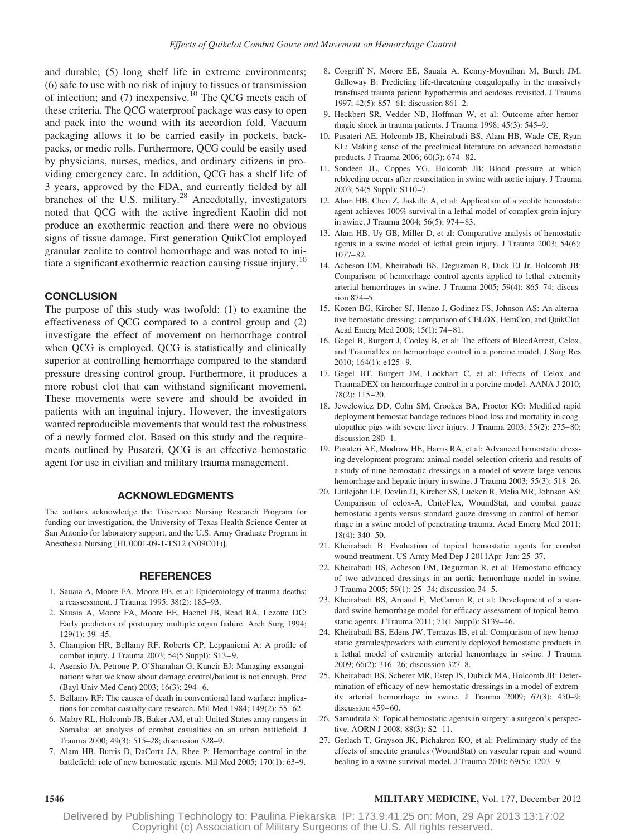and durable; (5) long shelf life in extreme environments; (6) safe to use with no risk of injury to tissues or transmission of infection; and  $(7)$  inexpensive.<sup>10</sup> The QCG meets each of these criteria. The QCG waterproof package was easy to open and pack into the wound with its accordion fold. Vacuum packaging allows it to be carried easily in pockets, backpacks, or medic rolls. Furthermore, QCG could be easily used by physicians, nurses, medics, and ordinary citizens in providing emergency care. In addition, QCG has a shelf life of 3 years, approved by the FDA, and currently fielded by all branches of the U.S. military.<sup>28</sup> Anecdotally, investigators noted that QCG with the active ingredient Kaolin did not produce an exothermic reaction and there were no obvious signs of tissue damage. First generation QuikClot employed granular zeolite to control hemorrhage and was noted to initiate a significant exothermic reaction causing tissue injury.<sup>10</sup>

# **CONCLUSION**

The purpose of this study was twofold: (1) to examine the effectiveness of QCG compared to a control group and (2) investigate the effect of movement on hemorrhage control when QCG is employed. QCG is statistically and clinically superior at controlling hemorrhage compared to the standard pressure dressing control group. Furthermore, it produces a more robust clot that can withstand significant movement. These movements were severe and should be avoided in patients with an inguinal injury. However, the investigators wanted reproducible movements that would test the robustness of a newly formed clot. Based on this study and the requirements outlined by Pusateri, QCG is an effective hemostatic agent for use in civilian and military trauma management.

#### ACKNOWLEDGMENTS

The authors acknowledge the Triservice Nursing Research Program for funding our investigation, the University of Texas Health Science Center at San Antonio for laboratory support, and the U.S. Army Graduate Program in Anesthesia Nursing [HU0001-09-1-TS12 (N09C01)].

#### REFERENCES

- 1. Sauaia A, Moore FA, Moore EE, et al: Epidemiology of trauma deaths: a reassessment. J Trauma 1995; 38(2): 185–93.
- 2. Sauaia A, Moore FA, Moore EE, Haenel JB, Read RA, Lezotte DC: Early predictors of postinjury multiple organ failure. Arch Surg 1994; 129(1): 39–45.
- 3. Champion HR, Bellamy RF, Roberts CP, Leppaniemi A: A profile of combat injury. J Trauma 2003; 54(5 Suppl): S13–9.
- 4. Asensio JA, Petrone P, O'Shanahan G, Kuncir EJ: Managing exsanguination: what we know about damage control/bailout is not enough. Proc (Bayl Univ Med Cent) 2003; 16(3): 294–6.
- 5. Bellamy RF: The causes of death in conventional land warfare: implications for combat casualty care research. Mil Med 1984; 149(2): 55–62.
- 6. Mabry RL, Holcomb JB, Baker AM, et al: United States army rangers in Somalia: an analysis of combat casualties on an urban battlefield. J Trauma 2000; 49(3): 515–28; discussion 528–9.
- 7. Alam HB, Burris D, DaCorta JA, Rhee P: Hemorrhage control in the battlefield: role of new hemostatic agents. Mil Med 2005; 170(1): 63–9.
- 8. Cosgriff N, Moore EE, Sauaia A, Kenny-Moynihan M, Burch JM, Galloway B: Predicting life-threatening coagulopathy in the massively transfused trauma patient: hypothermia and acidoses revisited. J Trauma 1997; 42(5): 857–61; discussion 861–2.
- 9. Heckbert SR, Vedder NB, Hoffman W, et al: Outcome after hemorrhagic shock in trauma patients. J Trauma 1998; 45(3): 545–9.
- 10. Pusateri AE, Holcomb JB, Kheirabadi BS, Alam HB, Wade CE, Ryan KL: Making sense of the preclinical literature on advanced hemostatic products. J Trauma 2006; 60(3): 674–82.
- 11. Sondeen JL, Coppes VG, Holcomb JB: Blood pressure at which rebleeding occurs after resuscitation in swine with aortic injury. J Trauma 2003; 54(5 Suppl): S110–7.
- 12. Alam HB, Chen Z, Jaskille A, et al: Application of a zeolite hemostatic agent achieves 100% survival in a lethal model of complex groin injury in swine. J Trauma 2004; 56(5): 974–83.
- 13. Alam HB, Uy GB, Miller D, et al: Comparative analysis of hemostatic agents in a swine model of lethal groin injury. J Trauma 2003; 54(6): 1077–82.
- 14. Acheson EM, Kheirabadi BS, Deguzman R, Dick EJ Jr, Holcomb JB: Comparison of hemorrhage control agents applied to lethal extremity arterial hemorrhages in swine. J Trauma 2005; 59(4): 865–74; discussion 874–5.
- 15. Kozen BG, Kircher SJ, Henao J, Godinez FS, Johnson AS: An alternative hemostatic dressing: comparison of CELOX, HemCon, and QuikClot. Acad Emerg Med 2008; 15(1): 74–81.
- 16. Gegel B, Burgert J, Cooley B, et al: The effects of BleedArrest, Celox, and TraumaDex on hemorrhage control in a porcine model. J Surg Res 2010; 164(1): e125–9.
- 17. Gegel BT, Burgert JM, Lockhart C, et al: Effects of Celox and TraumaDEX on hemorrhage control in a porcine model. AANA J 2010; 78(2): 115–20.
- 18. Jewelewicz DD, Cohn SM, Crookes BA, Proctor KG: Modified rapid deployment hemostat bandage reduces blood loss and mortality in coagulopathic pigs with severe liver injury. J Trauma 2003; 55(2): 275–80; discussion 280–1.
- 19. Pusateri AE, Modrow HE, Harris RA, et al: Advanced hemostatic dressing development program: animal model selection criteria and results of a study of nine hemostatic dressings in a model of severe large venous hemorrhage and hepatic injury in swine. J Trauma 2003; 55(3): 518–26.
- 20. Littlejohn LF, Devlin JJ, Kircher SS, Lueken R, Melia MR, Johnson AS: Comparison of celox-A, ChitoFlex, WoundStat, and combat gauze hemostatic agents versus standard gauze dressing in control of hemorrhage in a swine model of penetrating trauma. Acad Emerg Med 2011; 18(4): 340–50.
- 21. Kheirabadi B: Evaluation of topical hemostatic agents for combat wound treatment. US Army Med Dep J 2011Apr–Jun: 25–37.
- 22. Kheirabadi BS, Acheson EM, Deguzman R, et al: Hemostatic efficacy of two advanced dressings in an aortic hemorrhage model in swine. J Trauma 2005; 59(1): 25–34; discussion 34–5.
- 23. Kheirabadi BS, Arnaud F, McCarron R, et al: Development of a standard swine hemorrhage model for efficacy assessment of topical hemostatic agents. J Trauma 2011; 71(1 Suppl): S139–46.
- 24. Kheirabadi BS, Edens JW, Terrazas IB, et al: Comparison of new hemostatic granules/powders with currently deployed hemostatic products in a lethal model of extremity arterial hemorrhage in swine. J Trauma 2009; 66(2): 316–26; discussion 327–8.
- 25. Kheirabadi BS, Scherer MR, Estep JS, Dubick MA, Holcomb JB: Determination of efficacy of new hemostatic dressings in a model of extremity arterial hemorrhage in swine. J Trauma 2009; 67(3): 450–9; discussion 459–60.
- 26. Samudrala S: Topical hemostatic agents in surgery: a surgeon's perspective. AORN J 2008; 88(3): S2–11.
- 27. Gerlach T, Grayson JK, Pichakron KO, et al: Preliminary study of the effects of smectite granules (WoundStat) on vascular repair and wound healing in a swine survival model. J Trauma 2010; 69(5): 1203-9.

### 1546 MILITARY MEDICINE, Vol. 177, December 2012